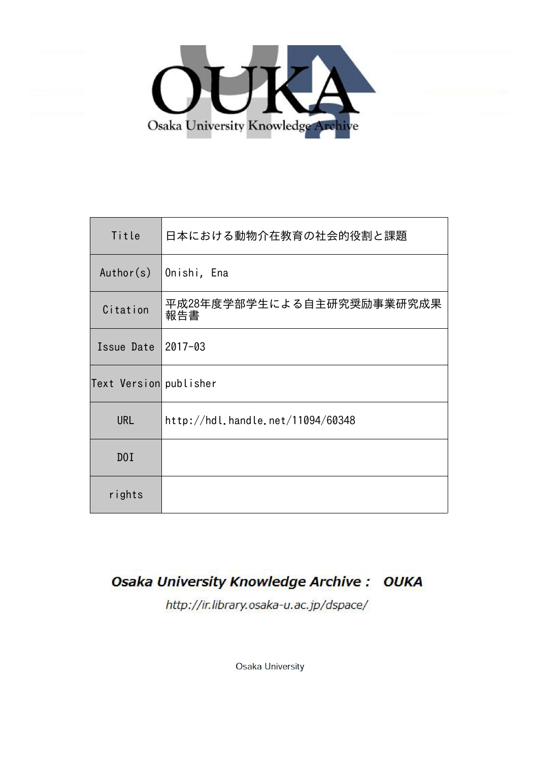

| Title                  | 日本における動物介在教育の社会的役割と課題             |  |
|------------------------|-----------------------------------|--|
| Author(s)              | Onishi, Ena                       |  |
| Citation               | 平成28年度学部学生による自主研究奨励事業研究成果<br>報告書  |  |
| Issue Date             | 2017-03                           |  |
| Text Version publisher |                                   |  |
| <b>URL</b>             | http://hdl.handle.net/11094/60348 |  |
| D0I                    |                                   |  |
| rights                 |                                   |  |

#### **Osaka University Knowledge Archive: OUKA**

http://ir.library.osaka-u.ac.jp/dspace/

Osaka University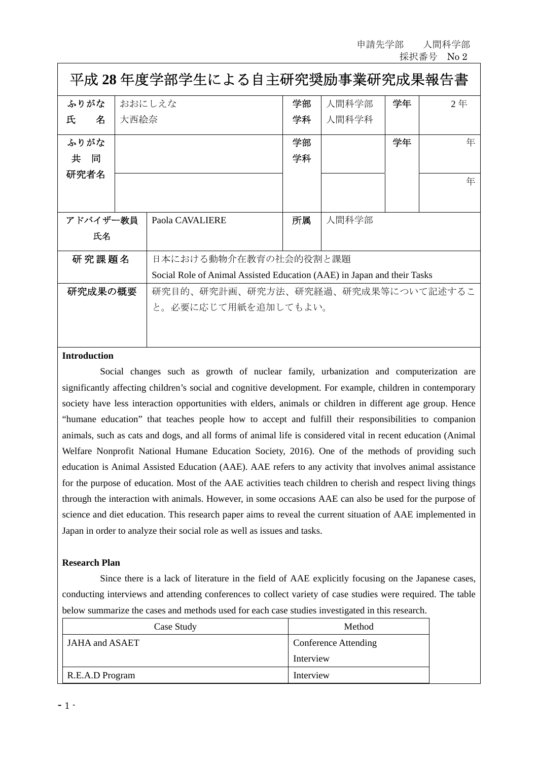申請先学部 人間科学部 採択番号 No 2

| 平成 28 年度学部学生による自主研究奨励事業研究成果報告書 |                                                                         |                                    |    |       |    |                |
|--------------------------------|-------------------------------------------------------------------------|------------------------------------|----|-------|----|----------------|
| ふりがな                           | おおにしえな                                                                  |                                    | 学部 | 人間科学部 | 学年 | 2 <sup>4</sup> |
| 氏<br>名                         | 大西絵奈                                                                    |                                    | 学科 | 人間科学科 |    |                |
| ふりがな                           |                                                                         |                                    | 学部 |       | 学年 | 年              |
| 共<br>同                         |                                                                         |                                    | 学科 |       |    |                |
| 研究者名                           |                                                                         |                                    |    |       |    | 年              |
|                                |                                                                         |                                    |    |       |    |                |
|                                |                                                                         |                                    |    |       |    |                |
| アドバイザー教員                       |                                                                         | Paola CAVALIERE                    | 所属 | 人間科学部 |    |                |
| 氏名                             |                                                                         |                                    |    |       |    |                |
| 研究課題名                          |                                                                         | 日本における動物介在教育の社会的役割と課題              |    |       |    |                |
|                                | Social Role of Animal Assisted Education (AAE) in Japan and their Tasks |                                    |    |       |    |                |
| 研究成果の概要                        |                                                                         | 研究目的、研究計画、研究方法、研究経過、研究成果等について記述するこ |    |       |    |                |
|                                |                                                                         | と。必要に応じて用紙を追加してもよい。                |    |       |    |                |
|                                |                                                                         |                                    |    |       |    |                |

# **Introduction**

Social changes such as growth of nuclear family, urbanization and computerization are significantly affecting children's social and cognitive development. For example, children in contemporary society have less interaction opportunities with elders, animals or children in different age group. Hence "humane education" that teaches people how to accept and fulfill their responsibilities to companion animals, such as cats and dogs, and all forms of animal life is considered vital in recent education (Animal Welfare Nonprofit National Humane Education Society, 2016). One of the methods of providing such education is Animal Assisted Education (AAE). AAE refers to any activity that involves animal assistance for the purpose of education. Most of the AAE activities teach children to cherish and respect living things through the interaction with animals. However, in some occasions AAE can also be used for the purpose of science and diet education. This research paper aims to reveal the current situation of AAE implemented in Japan in order to analyze their social role as well as issues and tasks.

# **Research Plan**

 Since there is a lack of literature in the field of AAE explicitly focusing on the Japanese cases, conducting interviews and attending conferences to collect variety of case studies were required. The table below summarize the cases and methods used for each case studies investigated in this research.

| Case Study      | Method                      |  |
|-----------------|-----------------------------|--|
| JAHA and ASAET  | <b>Conference Attending</b> |  |
|                 | Interview                   |  |
| R.E.A.D Program | Interview                   |  |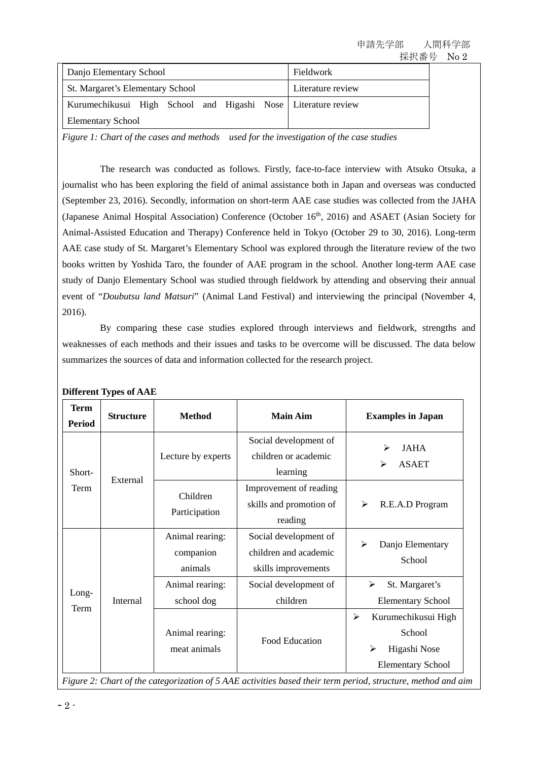| Danjo Elementary School                                       | Fieldwork         |  |
|---------------------------------------------------------------|-------------------|--|
| <b>St. Margaret's Elementary School</b>                       | Literature review |  |
| Kurumechikusui High School and Higashi Nose Literature review |                   |  |
| <b>Elementary School</b>                                      |                   |  |

*Figure 1: Chart of the cases and methods used for the investigation of the case studies* 

 The research was conducted as follows. Firstly, face-to-face interview with Atsuko Otsuka, a journalist who has been exploring the field of animal assistance both in Japan and overseas was conducted (September 23, 2016). Secondly, information on short-term AAE case studies was collected from the JAHA (Japanese Animal Hospital Association) Conference (October 16<sup>th</sup>, 2016) and ASAET (Asian Society for Animal-Assisted Education and Therapy) Conference held in Tokyo (October 29 to 30, 2016). Long-term AAE case study of St. Margaret's Elementary School was explored through the literature review of the two books written by Yoshida Taro, the founder of AAE program in the school. Another long-term AAE case study of Danjo Elementary School was studied through fieldwork by attending and observing their annual event of "*Doubutsu land Matsuri*" (Animal Land Festival) and interviewing the principal (November 4, 2016).

 By comparing these case studies explored through interviews and fieldwork, strengths and weaknesses of each methods and their issues and tasks to be overcome will be discussed. The data below summarizes the sources of data and information collected for the research project.

| <b>Term</b><br>Period | <b>Structure</b> | <b>Method</b>                           | <b>Main Aim</b>                                                       | <b>Examples in Japan</b>                                                                                |
|-----------------------|------------------|-----------------------------------------|-----------------------------------------------------------------------|---------------------------------------------------------------------------------------------------------|
| Short-<br>Term        | External         | Lecture by experts                      | Social development of<br>children or academic<br>learning             | <b>JAHA</b><br>⋗<br><b>ASAET</b><br>≻                                                                   |
|                       |                  | Children<br>Participation               | Improvement of reading<br>skills and promotion of<br>reading          | R.E.A.D Program<br>≻                                                                                    |
| Long-<br>Term         | Internal         | Animal rearing:<br>companion<br>animals | Social development of<br>children and academic<br>skills improvements | Danjo Elementary<br>➢<br>School                                                                         |
|                       |                  | Animal rearing:<br>school dog           | Social development of<br>children                                     | St. Margaret's<br>≻<br><b>Elementary School</b>                                                         |
|                       |                  | Animal rearing:<br>meat animals         | Food Education                                                        | ≻<br>Kurumechikusui High<br>School<br>$\blacktriangleright$<br>Higashi Nose<br><b>Elementary School</b> |

**Different Types of AAE** 

*Figure 2: Chart of the categorization of 5 AAE activities based their term period, structure, method and aim*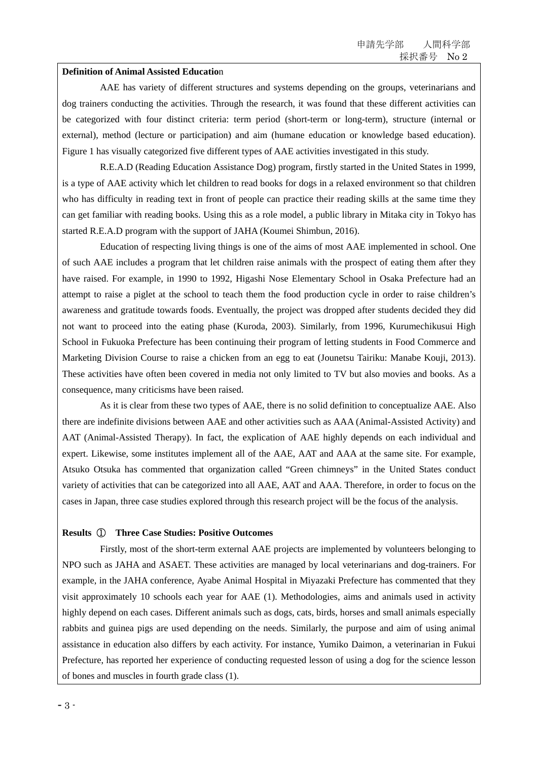### **Definition of Animal Assisted Educatio**n

 AAE has variety of different structures and systems depending on the groups, veterinarians and dog trainers conducting the activities. Through the research, it was found that these different activities can be categorized with four distinct criteria: term period (short-term or long-term), structure (internal or external), method (lecture or participation) and aim (humane education or knowledge based education). Figure 1 has visually categorized five different types of AAE activities investigated in this study.

 R.E.A.D (Reading Education Assistance Dog) program, firstly started in the United States in 1999, is a type of AAE activity which let children to read books for dogs in a relaxed environment so that children who has difficulty in reading text in front of people can practice their reading skills at the same time they can get familiar with reading books. Using this as a role model, a public library in Mitaka city in Tokyo has started R.E.A.D program with the support of JAHA (Koumei Shimbun, 2016).

 Education of respecting living things is one of the aims of most AAE implemented in school. One of such AAE includes a program that let children raise animals with the prospect of eating them after they have raised. For example, in 1990 to 1992, Higashi Nose Elementary School in Osaka Prefecture had an attempt to raise a piglet at the school to teach them the food production cycle in order to raise children's awareness and gratitude towards foods. Eventually, the project was dropped after students decided they did not want to proceed into the eating phase (Kuroda, 2003). Similarly, from 1996, Kurumechikusui High School in Fukuoka Prefecture has been continuing their program of letting students in Food Commerce and Marketing Division Course to raise a chicken from an egg to eat (Jounetsu Tairiku: Manabe Kouji, 2013). These activities have often been covered in media not only limited to TV but also movies and books. As a consequence, many criticisms have been raised.

 As it is clear from these two types of AAE, there is no solid definition to conceptualize AAE. Also there are indefinite divisions between AAE and other activities such as AAA (Animal-Assisted Activity) and AAT (Animal-Assisted Therapy). In fact, the explication of AAE highly depends on each individual and expert. Likewise, some institutes implement all of the AAE, AAT and AAA at the same site. For example, Atsuko Otsuka has commented that organization called "Green chimneys" in the United States conduct variety of activities that can be categorized into all AAE, AAT and AAA. Therefore, in order to focus on the cases in Japan, three case studies explored through this research project will be the focus of the analysis.

# **Results** ① **Three Case Studies: Positive Outcomes**

 Firstly, most of the short-term external AAE projects are implemented by volunteers belonging to NPO such as JAHA and ASAET. These activities are managed by local veterinarians and dog-trainers. For example, in the JAHA conference, Ayabe Animal Hospital in Miyazaki Prefecture has commented that they visit approximately 10 schools each year for AAE (1). Methodologies, aims and animals used in activity highly depend on each cases. Different animals such as dogs, cats, birds, horses and small animals especially rabbits and guinea pigs are used depending on the needs. Similarly, the purpose and aim of using animal assistance in education also differs by each activity. For instance, Yumiko Daimon, a veterinarian in Fukui Prefecture, has reported her experience of conducting requested lesson of using a dog for the science lesson of bones and muscles in fourth grade class (1).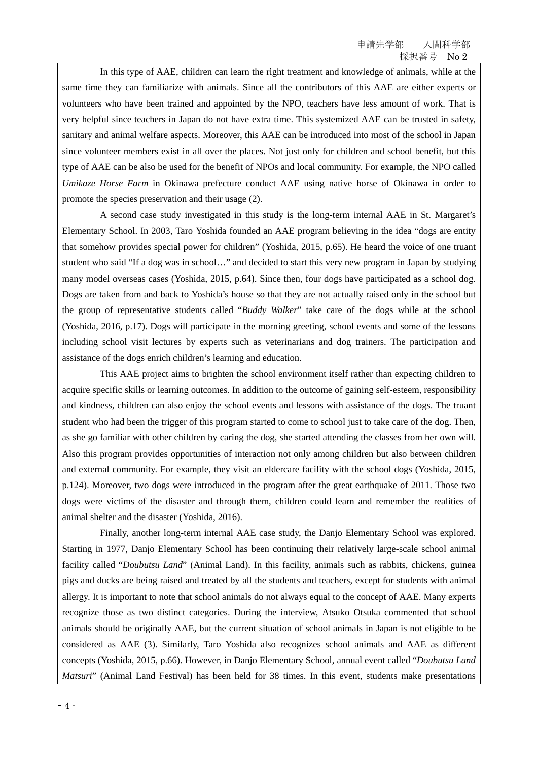In this type of AAE, children can learn the right treatment and knowledge of animals, while at the same time they can familiarize with animals. Since all the contributors of this AAE are either experts or volunteers who have been trained and appointed by the NPO, teachers have less amount of work. That is very helpful since teachers in Japan do not have extra time. This systemized AAE can be trusted in safety, sanitary and animal welfare aspects. Moreover, this AAE can be introduced into most of the school in Japan since volunteer members exist in all over the places. Not just only for children and school benefit, but this type of AAE can be also be used for the benefit of NPOs and local community. For example, the NPO called *Umikaze Horse Farm* in Okinawa prefecture conduct AAE using native horse of Okinawa in order to promote the species preservation and their usage (2).

 A second case study investigated in this study is the long-term internal AAE in St. Margaret's Elementary School. In 2003, Taro Yoshida founded an AAE program believing in the idea "dogs are entity that somehow provides special power for children" (Yoshida, 2015, p.65). He heard the voice of one truant student who said "If a dog was in school…" and decided to start this very new program in Japan by studying many model overseas cases (Yoshida, 2015, p.64). Since then, four dogs have participated as a school dog. Dogs are taken from and back to Yoshida's house so that they are not actually raised only in the school but the group of representative students called "*Buddy Walker*" take care of the dogs while at the school (Yoshida, 2016, p.17). Dogs will participate in the morning greeting, school events and some of the lessons including school visit lectures by experts such as veterinarians and dog trainers. The participation and assistance of the dogs enrich children's learning and education.

 This AAE project aims to brighten the school environment itself rather than expecting children to acquire specific skills or learning outcomes. In addition to the outcome of gaining self-esteem, responsibility and kindness, children can also enjoy the school events and lessons with assistance of the dogs. The truant student who had been the trigger of this program started to come to school just to take care of the dog. Then, as she go familiar with other children by caring the dog, she started attending the classes from her own will. Also this program provides opportunities of interaction not only among children but also between children and external community. For example, they visit an eldercare facility with the school dogs (Yoshida, 2015, p.124). Moreover, two dogs were introduced in the program after the great earthquake of 2011. Those two dogs were victims of the disaster and through them, children could learn and remember the realities of animal shelter and the disaster (Yoshida, 2016).

 Finally, another long-term internal AAE case study, the Danjo Elementary School was explored. Starting in 1977, Danjo Elementary School has been continuing their relatively large-scale school animal facility called "*Doubutsu Land*" (Animal Land). In this facility, animals such as rabbits, chickens, guinea pigs and ducks are being raised and treated by all the students and teachers, except for students with animal allergy. It is important to note that school animals do not always equal to the concept of AAE. Many experts recognize those as two distinct categories. During the interview, Atsuko Otsuka commented that school animals should be originally AAE, but the current situation of school animals in Japan is not eligible to be considered as AAE (3). Similarly, Taro Yoshida also recognizes school animals and AAE as different concepts (Yoshida, 2015, p.66). However, in Danjo Elementary School, annual event called "*Doubutsu Land Matsuri*" (Animal Land Festival) has been held for 38 times. In this event, students make presentations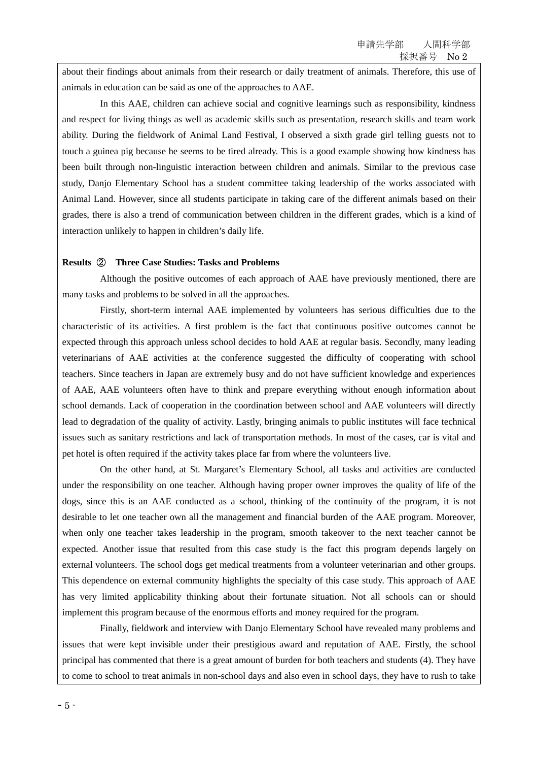about their findings about animals from their research or daily treatment of animals. Therefore, this use of animals in education can be said as one of the approaches to AAE.

 In this AAE, children can achieve social and cognitive learnings such as responsibility, kindness and respect for living things as well as academic skills such as presentation, research skills and team work ability. During the fieldwork of Animal Land Festival, I observed a sixth grade girl telling guests not to touch a guinea pig because he seems to be tired already. This is a good example showing how kindness has been built through non-linguistic interaction between children and animals. Similar to the previous case study, Danjo Elementary School has a student committee taking leadership of the works associated with Animal Land. However, since all students participate in taking care of the different animals based on their grades, there is also a trend of communication between children in the different grades, which is a kind of interaction unlikely to happen in children's daily life.

### **Results** ② **Three Case Studies: Tasks and Problems**

 Although the positive outcomes of each approach of AAE have previously mentioned, there are many tasks and problems to be solved in all the approaches.

 Firstly, short-term internal AAE implemented by volunteers has serious difficulties due to the characteristic of its activities. A first problem is the fact that continuous positive outcomes cannot be expected through this approach unless school decides to hold AAE at regular basis. Secondly, many leading veterinarians of AAE activities at the conference suggested the difficulty of cooperating with school teachers. Since teachers in Japan are extremely busy and do not have sufficient knowledge and experiences of AAE, AAE volunteers often have to think and prepare everything without enough information about school demands. Lack of cooperation in the coordination between school and AAE volunteers will directly lead to degradation of the quality of activity. Lastly, bringing animals to public institutes will face technical issues such as sanitary restrictions and lack of transportation methods. In most of the cases, car is vital and pet hotel is often required if the activity takes place far from where the volunteers live.

 On the other hand, at St. Margaret's Elementary School, all tasks and activities are conducted under the responsibility on one teacher. Although having proper owner improves the quality of life of the dogs, since this is an AAE conducted as a school, thinking of the continuity of the program, it is not desirable to let one teacher own all the management and financial burden of the AAE program. Moreover, when only one teacher takes leadership in the program, smooth takeover to the next teacher cannot be expected. Another issue that resulted from this case study is the fact this program depends largely on external volunteers. The school dogs get medical treatments from a volunteer veterinarian and other groups. This dependence on external community highlights the specialty of this case study. This approach of AAE has very limited applicability thinking about their fortunate situation. Not all schools can or should implement this program because of the enormous efforts and money required for the program.

 Finally, fieldwork and interview with Danjo Elementary School have revealed many problems and issues that were kept invisible under their prestigious award and reputation of AAE. Firstly, the school principal has commented that there is a great amount of burden for both teachers and students (4). They have to come to school to treat animals in non-school days and also even in school days, they have to rush to take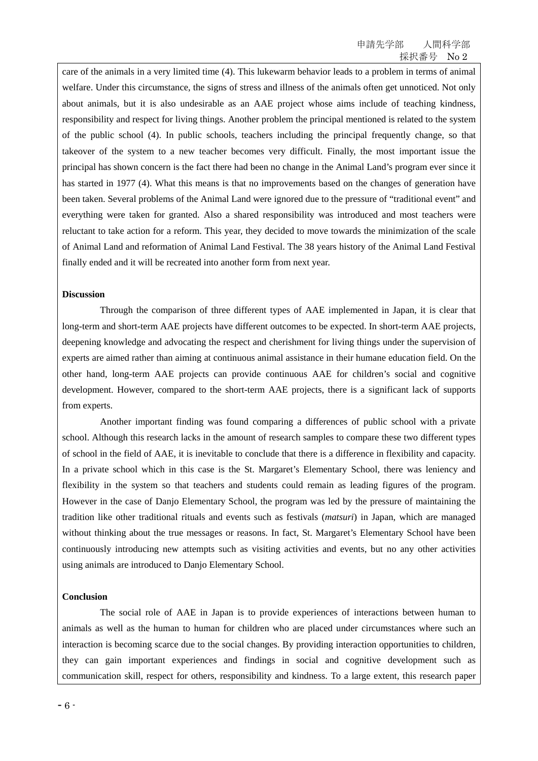care of the animals in a very limited time (4). This lukewarm behavior leads to a problem in terms of animal welfare. Under this circumstance, the signs of stress and illness of the animals often get unnoticed. Not only about animals, but it is also undesirable as an AAE project whose aims include of teaching kindness, responsibility and respect for living things. Another problem the principal mentioned is related to the system of the public school (4). In public schools, teachers including the principal frequently change, so that takeover of the system to a new teacher becomes very difficult. Finally, the most important issue the principal has shown concern is the fact there had been no change in the Animal Land's program ever since it has started in 1977 (4). What this means is that no improvements based on the changes of generation have been taken. Several problems of the Animal Land were ignored due to the pressure of "traditional event" and everything were taken for granted. Also a shared responsibility was introduced and most teachers were reluctant to take action for a reform. This year, they decided to move towards the minimization of the scale of Animal Land and reformation of Animal Land Festival. The 38 years history of the Animal Land Festival finally ended and it will be recreated into another form from next year.

### **Discussion**

 Through the comparison of three different types of AAE implemented in Japan, it is clear that long-term and short-term AAE projects have different outcomes to be expected. In short-term AAE projects, deepening knowledge and advocating the respect and cherishment for living things under the supervision of experts are aimed rather than aiming at continuous animal assistance in their humane education field. On the other hand, long-term AAE projects can provide continuous AAE for children's social and cognitive development. However, compared to the short-term AAE projects, there is a significant lack of supports from experts.

 Another important finding was found comparing a differences of public school with a private school. Although this research lacks in the amount of research samples to compare these two different types of school in the field of AAE, it is inevitable to conclude that there is a difference in flexibility and capacity. In a private school which in this case is the St. Margaret's Elementary School, there was leniency and flexibility in the system so that teachers and students could remain as leading figures of the program. However in the case of Danjo Elementary School, the program was led by the pressure of maintaining the tradition like other traditional rituals and events such as festivals (*matsuri*) in Japan, which are managed without thinking about the true messages or reasons. In fact, St. Margaret's Elementary School have been continuously introducing new attempts such as visiting activities and events, but no any other activities using animals are introduced to Danjo Elementary School.

#### **Conclusion**

 The social role of AAE in Japan is to provide experiences of interactions between human to animals as well as the human to human for children who are placed under circumstances where such an interaction is becoming scarce due to the social changes. By providing interaction opportunities to children, they can gain important experiences and findings in social and cognitive development such as communication skill, respect for others, responsibility and kindness. To a large extent, this research paper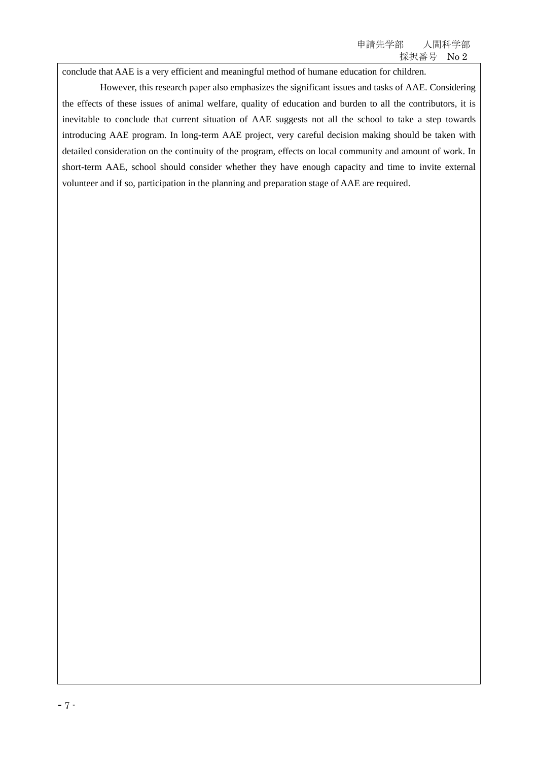conclude that AAE is a very efficient and meaningful method of humane education for children.

 However, this research paper also emphasizes the significant issues and tasks of AAE. Considering the effects of these issues of animal welfare, quality of education and burden to all the contributors, it is inevitable to conclude that current situation of AAE suggests not all the school to take a step towards introducing AAE program. In long-term AAE project, very careful decision making should be taken with detailed consideration on the continuity of the program, effects on local community and amount of work. In short-term AAE, school should consider whether they have enough capacity and time to invite external volunteer and if so, participation in the planning and preparation stage of AAE are required.